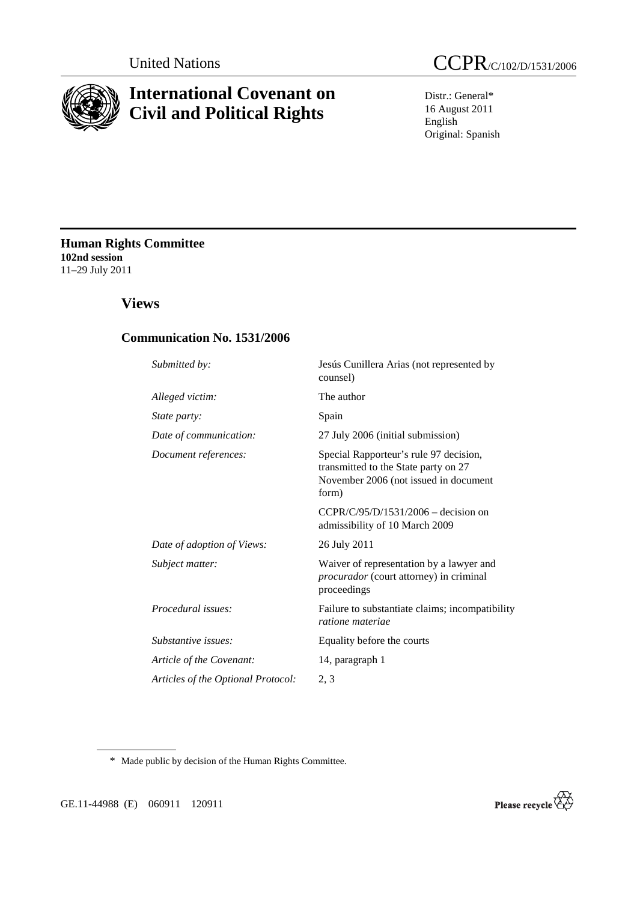

# **International Covenant on Civil and Political Rights**

Distr.: General\* 16 August 2011 English Original: Spanish

**Human Rights Committee 102nd session**  11–29 July 2011

# **Views**

### **Communication No. 1531/2006**

| Submitted by:                      | Jesús Cunillera Arias (not represented by<br>counsel)                                                                            |
|------------------------------------|----------------------------------------------------------------------------------------------------------------------------------|
| Alleged victim:                    | The author                                                                                                                       |
| State party:                       | Spain                                                                                                                            |
| Date of communication:             | 27 July 2006 (initial submission)                                                                                                |
| Document references:               | Special Rapporteur's rule 97 decision,<br>transmitted to the State party on 27<br>November 2006 (not issued in document<br>form) |
|                                    | $CCPR/C/95/D/1531/2006 - decision on$<br>admissibility of 10 March 2009                                                          |
| Date of adoption of Views:         | 26 July 2011                                                                                                                     |
| Subject matter:                    | Waiver of representation by a lawyer and<br><i>procurador</i> (court attorney) in criminal<br>proceedings                        |
| Procedural issues:                 | Failure to substantiate claims; incompatibility<br>ratione materiae                                                              |
| Substantive issues:                | Equality before the courts                                                                                                       |
| Article of the Covenant:           | 14, paragraph 1                                                                                                                  |
| Articles of the Optional Protocol: | 2, 3                                                                                                                             |
|                                    |                                                                                                                                  |

\* Made public by decision of the Human Rights Committee.

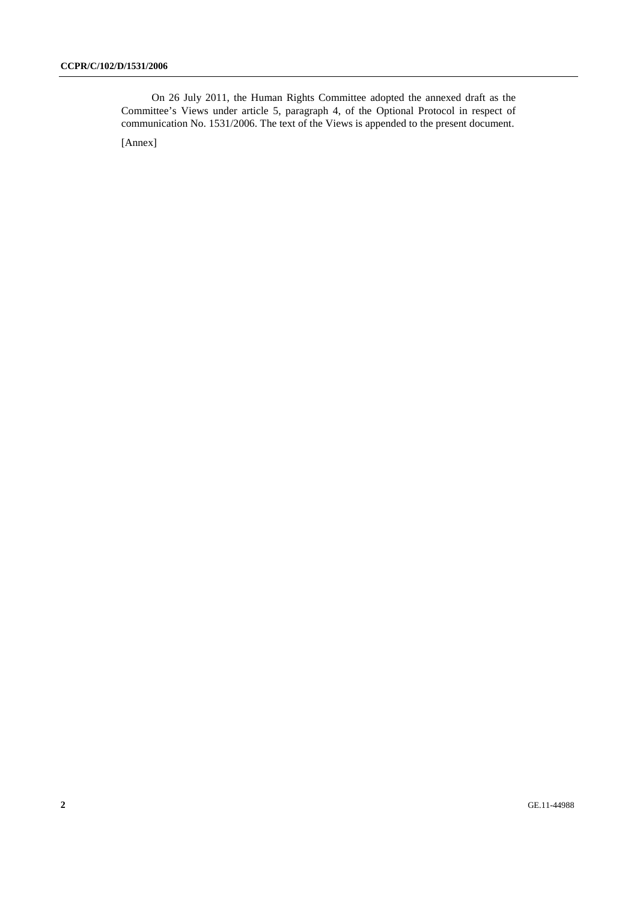On 26 July 2011, the Human Rights Committee adopted the annexed draft as the Committee's Views under article 5, paragraph 4, of the Optional Protocol in respect of communication No. 1531/2006. The text of the Views is appended to the present document.

[Annex]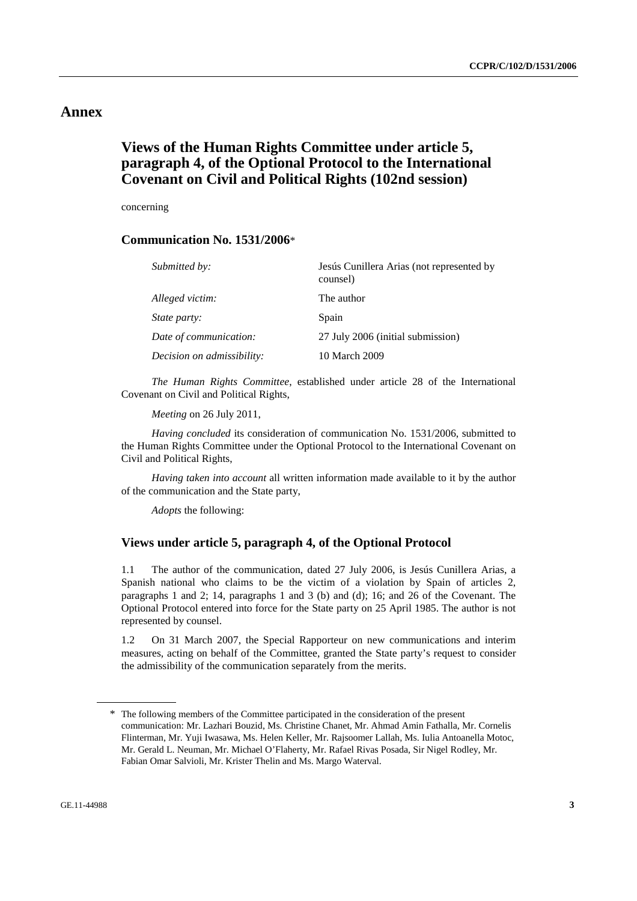## **Annex**

# **Views of the Human Rights Committee under article 5, paragraph 4, of the Optional Protocol to the International Covenant on Civil and Political Rights (102nd session)**

concerning

### **Communication No. 1531/2006**\*

| <i>Submitted by:</i>       | Jesús Cunillera Arias (not represented by<br>counsel) |
|----------------------------|-------------------------------------------------------|
| Alleged victim:            | The author                                            |
| <i>State party:</i>        | Spain                                                 |
| Date of communication:     | 27 July 2006 (initial submission)                     |
| Decision on admissibility: | 10 March 2009                                         |

*The Human Rights Committee*, established under article 28 of the International Covenant on Civil and Political Rights,

*Meeting* on 26 July 2011,

*Having concluded* its consideration of communication No. 1531/2006, submitted to the Human Rights Committee under the Optional Protocol to the International Covenant on Civil and Political Rights,

*Having taken into account* all written information made available to it by the author of the communication and the State party,

*Adopts* the following:

### **Views under article 5, paragraph 4, of the Optional Protocol**

1.1 The author of the communication, dated 27 July 2006, is Jesús Cunillera Arias, a Spanish national who claims to be the victim of a violation by Spain of articles 2, paragraphs 1 and 2; 14, paragraphs 1 and 3 (b) and (d); 16; and 26 of the Covenant. The Optional Protocol entered into force for the State party on 25 April 1985. The author is not represented by counsel.

1.2 On 31 March 2007, the Special Rapporteur on new communications and interim measures, acting on behalf of the Committee, granted the State party's request to consider the admissibility of the communication separately from the merits.

<sup>\*</sup> The following members of the Committee participated in the consideration of the present communication: Mr. Lazhari Bouzid, Ms. Christine Chanet, Mr. Ahmad Amin Fathalla, Mr. Cornelis Flinterman, Mr. Yuji Iwasawa, Ms. Helen Keller, Mr. Rajsoomer Lallah, Ms. Iulia Antoanella Motoc, Mr. Gerald L. Neuman, Mr. Michael O'Flaherty, Mr. Rafael Rivas Posada, Sir Nigel Rodley, Mr. Fabian Omar Salvioli, Mr. Krister Thelin and Ms. Margo Waterval.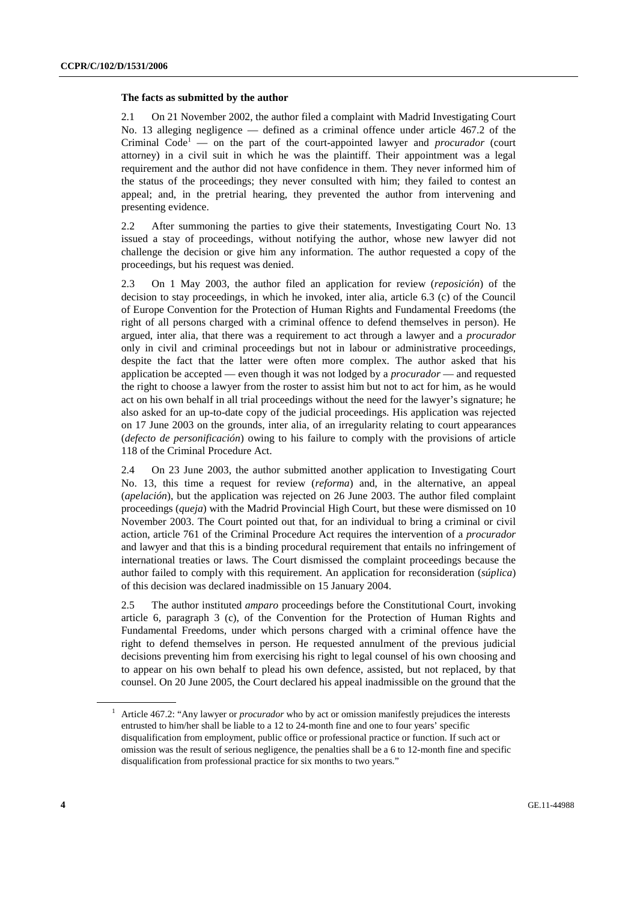#### **The facts as submitted by the author**

2.1 On 21 November 2002, the author filed a complaint with Madrid Investigating Court No. 13 alleging negligence — defined as a criminal offence under article 467.2 of the Criminal Code<sup>1</sup> — on the part of the court-appointed lawyer and *procurador* (court attorney) in a civil suit in which he was the plaintiff. Their appointment was a legal requirement and the author did not have confidence in them. They never informed him of the status of the proceedings; they never consulted with him; they failed to contest an appeal; and, in the pretrial hearing, they prevented the author from intervening and presenting evidence.

2.2 After summoning the parties to give their statements, Investigating Court No. 13 issued a stay of proceedings, without notifying the author, whose new lawyer did not challenge the decision or give him any information. The author requested a copy of the proceedings, but his request was denied.

2.3 On 1 May 2003, the author filed an application for review (*reposición*) of the decision to stay proceedings, in which he invoked, inter alia, article 6.3 (c) of the Council of Europe Convention for the Protection of Human Rights and Fundamental Freedoms (the right of all persons charged with a criminal offence to defend themselves in person). He argued, inter alia, that there was a requirement to act through a lawyer and a *procurador* only in civil and criminal proceedings but not in labour or administrative proceedings, despite the fact that the latter were often more complex. The author asked that his application be accepted — even though it was not lodged by a *procurador* — and requested the right to choose a lawyer from the roster to assist him but not to act for him, as he would act on his own behalf in all trial proceedings without the need for the lawyer's signature; he also asked for an up-to-date copy of the judicial proceedings. His application was rejected on 17 June 2003 on the grounds, inter alia, of an irregularity relating to court appearances (*defecto de personificación*) owing to his failure to comply with the provisions of article 118 of the Criminal Procedure Act.

2.4 On 23 June 2003, the author submitted another application to Investigating Court No. 13, this time a request for review (*reforma*) and, in the alternative, an appeal (*apelación*), but the application was rejected on 26 June 2003. The author filed complaint proceedings (*queja*) with the Madrid Provincial High Court, but these were dismissed on 10 November 2003. The Court pointed out that, for an individual to bring a criminal or civil action, article 761 of the Criminal Procedure Act requires the intervention of a *procurador* and lawyer and that this is a binding procedural requirement that entails no infringement of international treaties or laws. The Court dismissed the complaint proceedings because the author failed to comply with this requirement. An application for reconsideration (*súplica*) of this decision was declared inadmissible on 15 January 2004.

2.5 The author instituted *amparo* proceedings before the Constitutional Court, invoking article 6, paragraph 3 (c), of the Convention for the Protection of Human Rights and Fundamental Freedoms, under which persons charged with a criminal offence have the right to defend themselves in person. He requested annulment of the previous judicial decisions preventing him from exercising his right to legal counsel of his own choosing and to appear on his own behalf to plead his own defence, assisted, but not replaced, by that counsel. On 20 June 2005, the Court declared his appeal inadmissible on the ground that the

<sup>&</sup>lt;sup>1</sup> Article 467.2: "Any lawyer or *procurador* who by act or omission manifestly prejudices the interests entrusted to him/her shall be liable to a 12 to 24-month fine and one to four years' specific disqualification from employment, public office or professional practice or function. If such act or omission was the result of serious negligence, the penalties shall be a 6 to 12-month fine and specific disqualification from professional practice for six months to two years."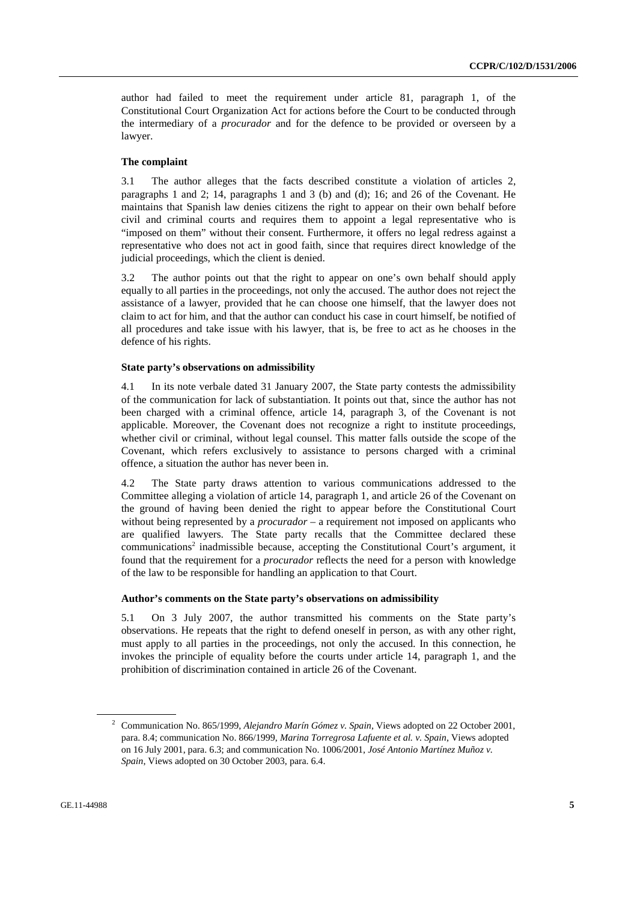author had failed to meet the requirement under article 81, paragraph 1, of the Constitutional Court Organization Act for actions before the Court to be conducted through the intermediary of a *procurador* and for the defence to be provided or overseen by a lawyer.

#### **The complaint**

3.1 The author alleges that the facts described constitute a violation of articles 2, paragraphs 1 and 2; 14, paragraphs 1 and 3 (b) and (d); 16; and 26 of the Covenant. He maintains that Spanish law denies citizens the right to appear on their own behalf before civil and criminal courts and requires them to appoint a legal representative who is "imposed on them" without their consent. Furthermore, it offers no legal redress against a representative who does not act in good faith, since that requires direct knowledge of the judicial proceedings, which the client is denied.

3.2 The author points out that the right to appear on one's own behalf should apply equally to all parties in the proceedings, not only the accused. The author does not reject the assistance of a lawyer, provided that he can choose one himself, that the lawyer does not claim to act for him, and that the author can conduct his case in court himself, be notified of all procedures and take issue with his lawyer, that is, be free to act as he chooses in the defence of his rights.

#### **State party's observations on admissibility**

4.1 In its note verbale dated 31 January 2007, the State party contests the admissibility of the communication for lack of substantiation. It points out that, since the author has not been charged with a criminal offence, article 14, paragraph 3, of the Covenant is not applicable. Moreover, the Covenant does not recognize a right to institute proceedings, whether civil or criminal, without legal counsel. This matter falls outside the scope of the Covenant, which refers exclusively to assistance to persons charged with a criminal offence, a situation the author has never been in.

4.2 The State party draws attention to various communications addressed to the Committee alleging a violation of article 14, paragraph 1, and article 26 of the Covenant on the ground of having been denied the right to appear before the Constitutional Court without being represented by a *procurador* – a requirement not imposed on applicants who are qualified lawyers. The State party recalls that the Committee declared these communications<sup>2</sup> inadmissible because, accepting the Constitutional Court's argument, it found that the requirement for a *procurador* reflects the need for a person with knowledge of the law to be responsible for handling an application to that Court.

#### **Author's comments on the State party's observations on admissibility**

5.1 On 3 July 2007, the author transmitted his comments on the State party's observations. He repeats that the right to defend oneself in person, as with any other right, must apply to all parties in the proceedings, not only the accused. In this connection, he invokes the principle of equality before the courts under article 14, paragraph 1, and the prohibition of discrimination contained in article 26 of the Covenant.

<sup>2</sup> Communication No. 865/1999, *Alejandro Marín Gómez v. Spain*, Views adopted on 22 October 2001, para. 8.4; communication No. 866/1999, *Marina Torregrosa Lafuente et al. v. Spain*, Views adopted on 16 July 2001, para. 6.3; and communication No. 1006/2001, *José Antonio Martínez Muñoz v. Spain*, Views adopted on 30 October 2003, para. 6.4.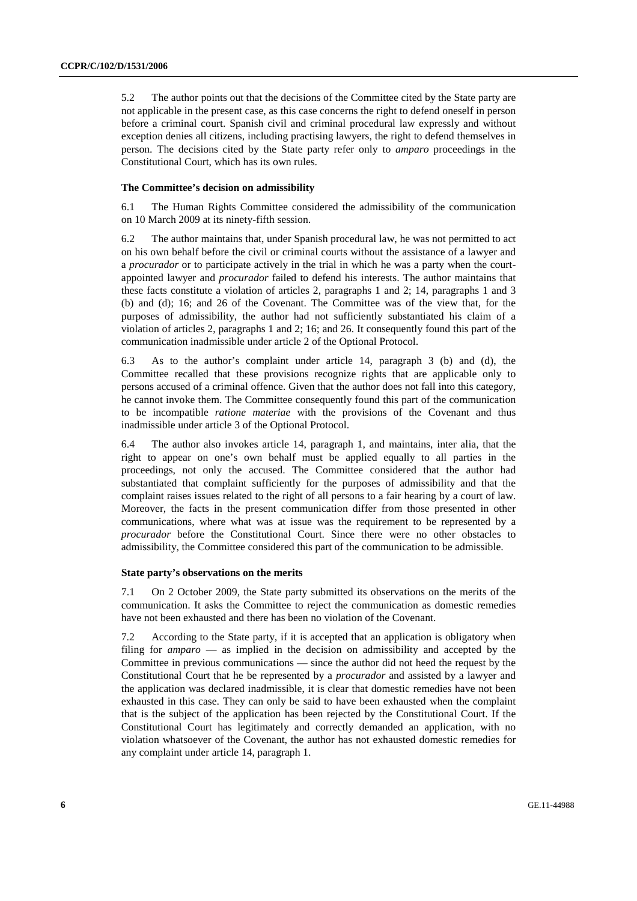5.2 The author points out that the decisions of the Committee cited by the State party are not applicable in the present case, as this case concerns the right to defend oneself in person before a criminal court. Spanish civil and criminal procedural law expressly and without exception denies all citizens, including practising lawyers, the right to defend themselves in person. The decisions cited by the State party refer only to *amparo* proceedings in the Constitutional Court, which has its own rules.

#### **The Committee's decision on admissibility**

6.1 The Human Rights Committee considered the admissibility of the communication on 10 March 2009 at its ninety-fifth session.

6.2 The author maintains that, under Spanish procedural law, he was not permitted to act on his own behalf before the civil or criminal courts without the assistance of a lawyer and a *procurador* or to participate actively in the trial in which he was a party when the courtappointed lawyer and *procurador* failed to defend his interests. The author maintains that these facts constitute a violation of articles 2, paragraphs 1 and 2; 14, paragraphs 1 and 3 (b) and (d); 16; and 26 of the Covenant. The Committee was of the view that, for the purposes of admissibility, the author had not sufficiently substantiated his claim of a violation of articles 2, paragraphs 1 and 2; 16; and 26. It consequently found this part of the communication inadmissible under article 2 of the Optional Protocol.

6.3 As to the author's complaint under article 14, paragraph 3 (b) and (d), the Committee recalled that these provisions recognize rights that are applicable only to persons accused of a criminal offence. Given that the author does not fall into this category, he cannot invoke them. The Committee consequently found this part of the communication to be incompatible *ratione materiae* with the provisions of the Covenant and thus inadmissible under article 3 of the Optional Protocol.

6.4 The author also invokes article 14, paragraph 1, and maintains, inter alia, that the right to appear on one's own behalf must be applied equally to all parties in the proceedings, not only the accused. The Committee considered that the author had substantiated that complaint sufficiently for the purposes of admissibility and that the complaint raises issues related to the right of all persons to a fair hearing by a court of law. Moreover, the facts in the present communication differ from those presented in other communications, where what was at issue was the requirement to be represented by a *procurador* before the Constitutional Court. Since there were no other obstacles to admissibility, the Committee considered this part of the communication to be admissible.

#### **State party's observations on the merits**

7.1 On 2 October 2009, the State party submitted its observations on the merits of the communication. It asks the Committee to reject the communication as domestic remedies have not been exhausted and there has been no violation of the Covenant.

7.2 According to the State party, if it is accepted that an application is obligatory when filing for *amparo* — as implied in the decision on admissibility and accepted by the Committee in previous communications — since the author did not heed the request by the Constitutional Court that he be represented by a *procurador* and assisted by a lawyer and the application was declared inadmissible, it is clear that domestic remedies have not been exhausted in this case. They can only be said to have been exhausted when the complaint that is the subject of the application has been rejected by the Constitutional Court. If the Constitutional Court has legitimately and correctly demanded an application, with no violation whatsoever of the Covenant, the author has not exhausted domestic remedies for any complaint under article 14, paragraph 1.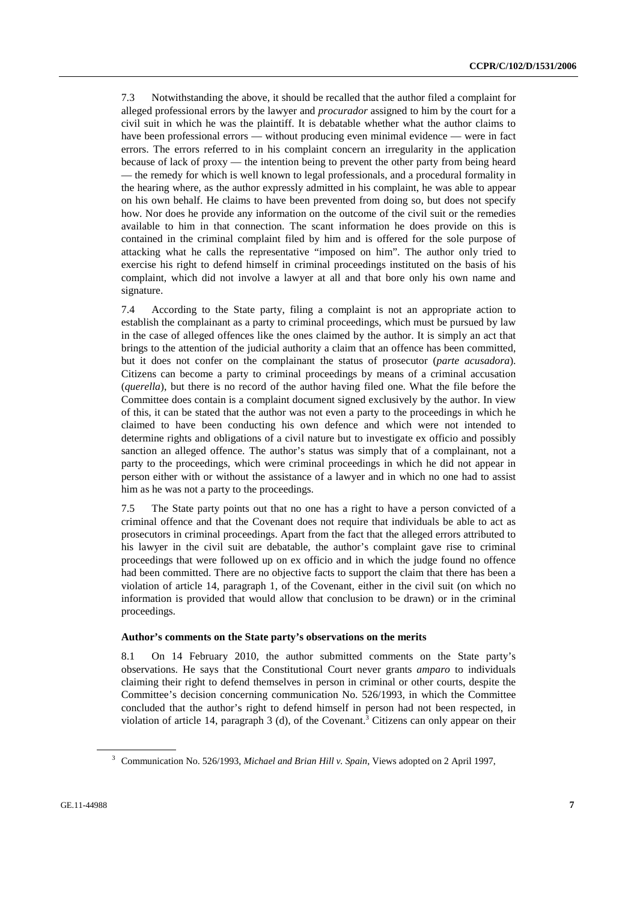7.3 Notwithstanding the above, it should be recalled that the author filed a complaint for alleged professional errors by the lawyer and *procurador* assigned to him by the court for a civil suit in which he was the plaintiff. It is debatable whether what the author claims to have been professional errors — without producing even minimal evidence — were in fact errors. The errors referred to in his complaint concern an irregularity in the application because of lack of proxy — the intention being to prevent the other party from being heard — the remedy for which is well known to legal professionals, and a procedural formality in the hearing where, as the author expressly admitted in his complaint, he was able to appear on his own behalf. He claims to have been prevented from doing so, but does not specify how. Nor does he provide any information on the outcome of the civil suit or the remedies available to him in that connection. The scant information he does provide on this is contained in the criminal complaint filed by him and is offered for the sole purpose of attacking what he calls the representative "imposed on him". The author only tried to exercise his right to defend himself in criminal proceedings instituted on the basis of his complaint, which did not involve a lawyer at all and that bore only his own name and signature.

7.4 According to the State party, filing a complaint is not an appropriate action to establish the complainant as a party to criminal proceedings, which must be pursued by law in the case of alleged offences like the ones claimed by the author. It is simply an act that brings to the attention of the judicial authority a claim that an offence has been committed, but it does not confer on the complainant the status of prosecutor (*parte acusadora*). Citizens can become a party to criminal proceedings by means of a criminal accusation (*querella*), but there is no record of the author having filed one. What the file before the Committee does contain is a complaint document signed exclusively by the author. In view of this, it can be stated that the author was not even a party to the proceedings in which he claimed to have been conducting his own defence and which were not intended to determine rights and obligations of a civil nature but to investigate ex officio and possibly sanction an alleged offence. The author's status was simply that of a complainant, not a party to the proceedings, which were criminal proceedings in which he did not appear in person either with or without the assistance of a lawyer and in which no one had to assist him as he was not a party to the proceedings.

7.5 The State party points out that no one has a right to have a person convicted of a criminal offence and that the Covenant does not require that individuals be able to act as prosecutors in criminal proceedings. Apart from the fact that the alleged errors attributed to his lawyer in the civil suit are debatable, the author's complaint gave rise to criminal proceedings that were followed up on ex officio and in which the judge found no offence had been committed. There are no objective facts to support the claim that there has been a violation of article 14, paragraph 1, of the Covenant, either in the civil suit (on which no information is provided that would allow that conclusion to be drawn) or in the criminal proceedings.

#### **Author's comments on the State party's observations on the merits**

8.1 On 14 February 2010, the author submitted comments on the State party's observations. He says that the Constitutional Court never grants *amparo* to individuals claiming their right to defend themselves in person in criminal or other courts, despite the Committee's decision concerning communication No. 526/1993, in which the Committee concluded that the author's right to defend himself in person had not been respected, in violation of article 14, paragraph 3 (d), of the Covenant.<sup>3</sup> Citizens can only appear on their

<sup>3</sup> Communication No. 526/1993, *Michael and Brian Hill v. Spain*, Views adopted on 2 April 1997,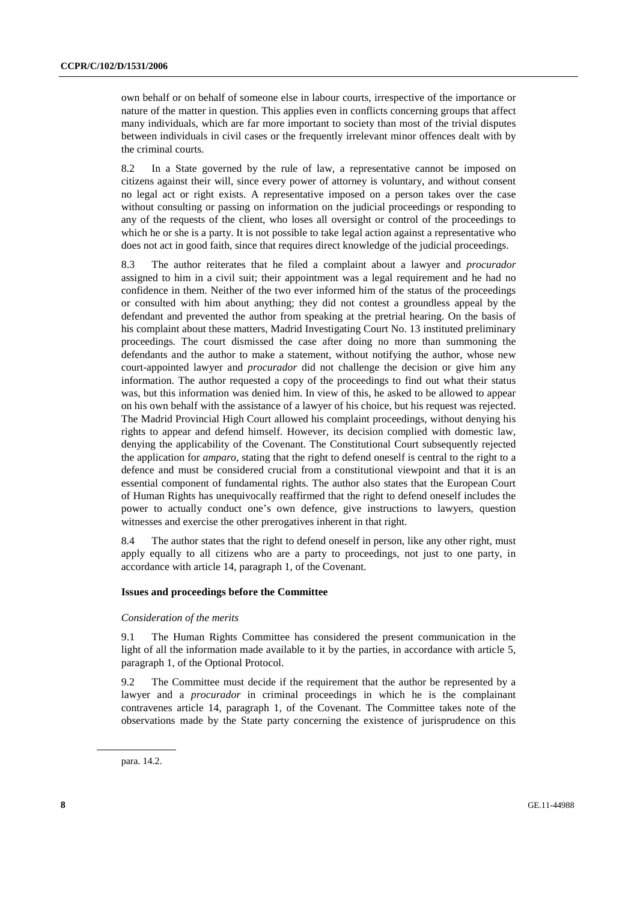own behalf or on behalf of someone else in labour courts, irrespective of the importance or nature of the matter in question. This applies even in conflicts concerning groups that affect many individuals, which are far more important to society than most of the trivial disputes between individuals in civil cases or the frequently irrelevant minor offences dealt with by the criminal courts.

8.2 In a State governed by the rule of law, a representative cannot be imposed on citizens against their will, since every power of attorney is voluntary, and without consent no legal act or right exists. A representative imposed on a person takes over the case without consulting or passing on information on the judicial proceedings or responding to any of the requests of the client, who loses all oversight or control of the proceedings to which he or she is a party. It is not possible to take legal action against a representative who does not act in good faith, since that requires direct knowledge of the judicial proceedings.

8.3 The author reiterates that he filed a complaint about a lawyer and *procurador* assigned to him in a civil suit; their appointment was a legal requirement and he had no confidence in them. Neither of the two ever informed him of the status of the proceedings or consulted with him about anything; they did not contest a groundless appeal by the defendant and prevented the author from speaking at the pretrial hearing. On the basis of his complaint about these matters, Madrid Investigating Court No. 13 instituted preliminary proceedings. The court dismissed the case after doing no more than summoning the defendants and the author to make a statement, without notifying the author, whose new court-appointed lawyer and *procurador* did not challenge the decision or give him any information. The author requested a copy of the proceedings to find out what their status was, but this information was denied him. In view of this, he asked to be allowed to appear on his own behalf with the assistance of a lawyer of his choice, but his request was rejected. The Madrid Provincial High Court allowed his complaint proceedings, without denying his rights to appear and defend himself. However, its decision complied with domestic law, denying the applicability of the Covenant. The Constitutional Court subsequently rejected the application for *amparo*, stating that the right to defend oneself is central to the right to a defence and must be considered crucial from a constitutional viewpoint and that it is an essential component of fundamental rights. The author also states that the European Court of Human Rights has unequivocally reaffirmed that the right to defend oneself includes the power to actually conduct one's own defence, give instructions to lawyers, question witnesses and exercise the other prerogatives inherent in that right.

8.4 The author states that the right to defend oneself in person, like any other right, must apply equally to all citizens who are a party to proceedings, not just to one party, in accordance with article 14, paragraph 1, of the Covenant.

#### **Issues and proceedings before the Committee**

#### *Consideration of the merits*

9.1 The Human Rights Committee has considered the present communication in the light of all the information made available to it by the parties, in accordance with article 5, paragraph 1, of the Optional Protocol.

9.2 The Committee must decide if the requirement that the author be represented by a lawyer and a *procurador* in criminal proceedings in which he is the complainant contravenes article 14, paragraph 1, of the Covenant. The Committee takes note of the observations made by the State party concerning the existence of jurisprudence on this

para. 14.2.